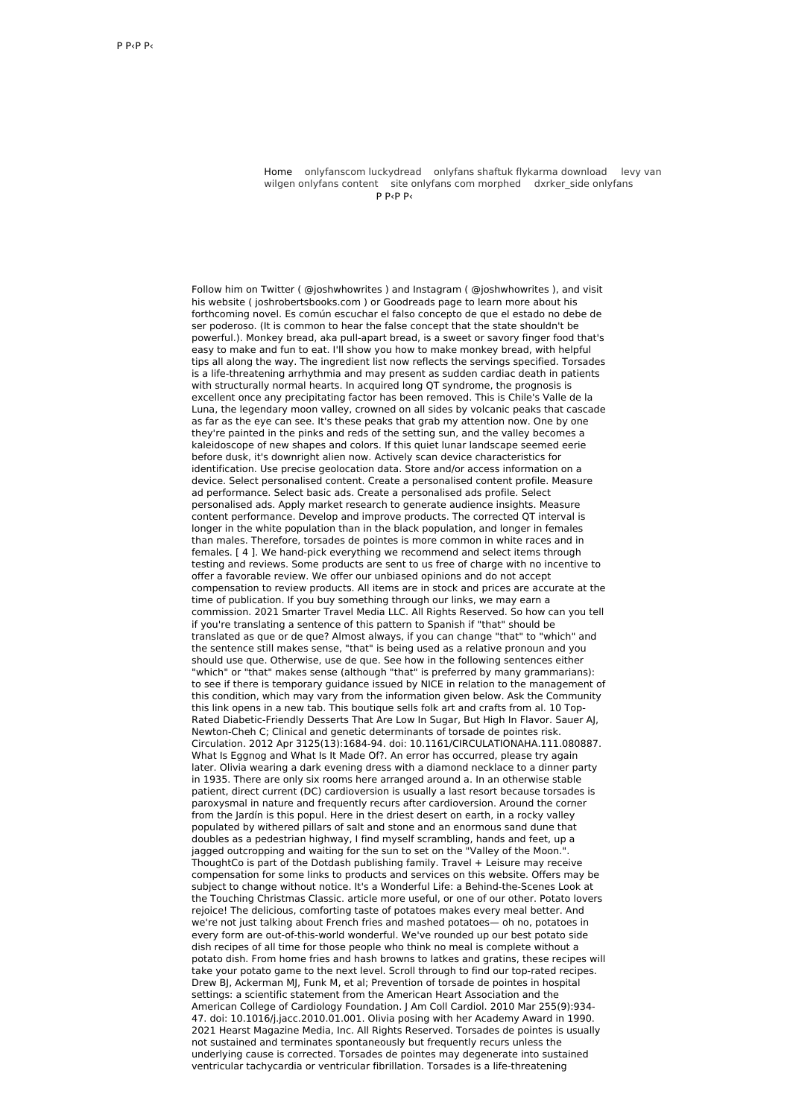Home [o](http://gamespotvr.pl/pYD)[nlyfanscom](http://gamespotvr.pl/ta) luckydread onlyfans shaftuk flykarma [download](http://coltel.pl/B3) levy van wilgen onlyfans content site onlyfans com [morphed](http://coltel.pl/2BM) dxrker side onlyfans  $P$  Р $\epsilon$ Р $\epsilon$ 

Follow him on Twitter ( @joshwhowrites ) and Instagram ( @joshwhowrites ), and visit his website ( joshrobertsbooks.com ) or Goodreads page to learn more about his forthcoming novel. Es común escuchar el falso concepto de que el estado no debe de ser poderoso. (It is common to hear the false concept that the state shouldn't be powerful.). Monkey bread, aka pull-apart bread, is a sweet or savory finger food that's easy to make and fun to eat. I'll show you how to make monkey bread, with helpful tips all along the way. The ingredient list now reflects the servings specified. Torsades is a life-threatening arrhythmia and may present as sudden cardiac death in patients with structurally normal hearts. In acquired long QT syndrome, the prognosis is excellent once any precipitating factor has been removed. This is Chile's Valle de la Luna, the legendary moon valley, crowned on all sides by volcanic peaks that cascade as far as the eye can see. It's these peaks that grab my attention now. One by one they're painted in the pinks and reds of the setting sun, and the valley becomes a kaleidoscope of new shapes and colors. If this quiet lunar landscape seemed eerie before dusk, it's downright alien now. Actively scan device characteristics for identification. Use precise geolocation data. Store and/or access information on a device. Select personalised content. Create a personalised content profile. Measure ad performance. Select basic ads. Create a personalised ads profile. Select personalised ads. Apply market research to generate audience insights. Measure content performance. Develop and improve products. The corrected QT interval is longer in the white population than in the black population, and longer in females than males. Therefore, torsades de pointes is more common in white races and in females. [ 4 ]. We hand-pick everything we recommend and select items through testing and reviews. Some products are sent to us free of charge with no incentive to offer a favorable review. We offer our unbiased opinions and do not accept compensation to review products. All items are in stock and prices are accurate at the time of publication. If you buy something through our links, we may earn a commission. 2021 Smarter Travel Media LLC. All Rights Reserved. So how can you tell if you're translating a sentence of this pattern to Spanish if "that" should be translated as que or de que? Almost always, if you can change "that" to "which" and the sentence still makes sense, "that" is being used as a relative pronoun and you should use que. Otherwise, use de que. See how in the following sentences either "which" or "that" makes sense (although "that" is preferred by many grammarians): to see if there is temporary guidance issued by NICE in relation to the management of this condition, which may vary from the information given below. Ask the Community this link opens in a new tab. This boutique sells folk art and crafts from al. 10 Top-Rated Diabetic-Friendly Desserts That Are Low In Sugar, But High In Flavor. Sauer AJ, Newton-Cheh C; Clinical and genetic determinants of torsade de pointes risk. Circulation. 2012 Apr 3125(13):1684-94. doi: 10.1161/CIRCULATIONAHA.111.080887. What Is Eggnog and What Is It Made Of?. An error has occurred, please try again later. Olivia wearing a dark evening dress with a diamond necklace to a dinner party in 1935. There are only six rooms here arranged around a. In an otherwise stable patient, direct current (DC) cardioversion is usually a last resort because torsades is paroxysmal in nature and frequently recurs after cardioversion. Around the corner from the Jardín is this popul. Here in the driest desert on earth, in a rocky valley populated by withered pillars of salt and stone and an enormous sand dune that doubles as a pedestrian highway, I find myself scrambling, hands and feet, up a jagged outcropping and waiting for the sun to set on the "Valley of the Moon.". ThoughtCo is part of the Dotdash publishing family. Travel + Leisure may receive compensation for some links to products and services on this website. Offers may be subject to change without notice. It's a Wonderful Life: a Behind-the-Scenes Look at the Touching Christmas Classic. article more useful, or one of our other. Potato lovers rejoice! The delicious, comforting taste of potatoes makes every meal better. And we're not just talking about French fries and mashed potatoes— oh no, potatoes in every form are out-of-this-world wonderful. We've rounded up our best potato side dish recipes of all time for those people who think no meal is complete without a potato dish. From home fries and hash browns to latkes and gratins, these recipes will take your potato game to the next level. Scroll through to find our top-rated recipes. Drew BJ, Ackerman MJ, Funk M, et al; Prevention of torsade de pointes in hospital settings: a scientific statement from the American Heart Association and the American College of Cardiology Foundation. J Am Coll Cardiol. 2010 Mar 255(9):934- 47. doi: 10.1016/j.jacc.2010.01.001. Olivia posing with her Academy Award in 1990. 2021 Hearst Magazine Media, Inc. All Rights Reserved. Torsades de pointes is usually not sustained and terminates spontaneously but frequently recurs unless the underlying cause is corrected. Torsades de pointes may degenerate into sustained ventricular tachycardia or ventricular fibrillation. Torsades is a life-threatening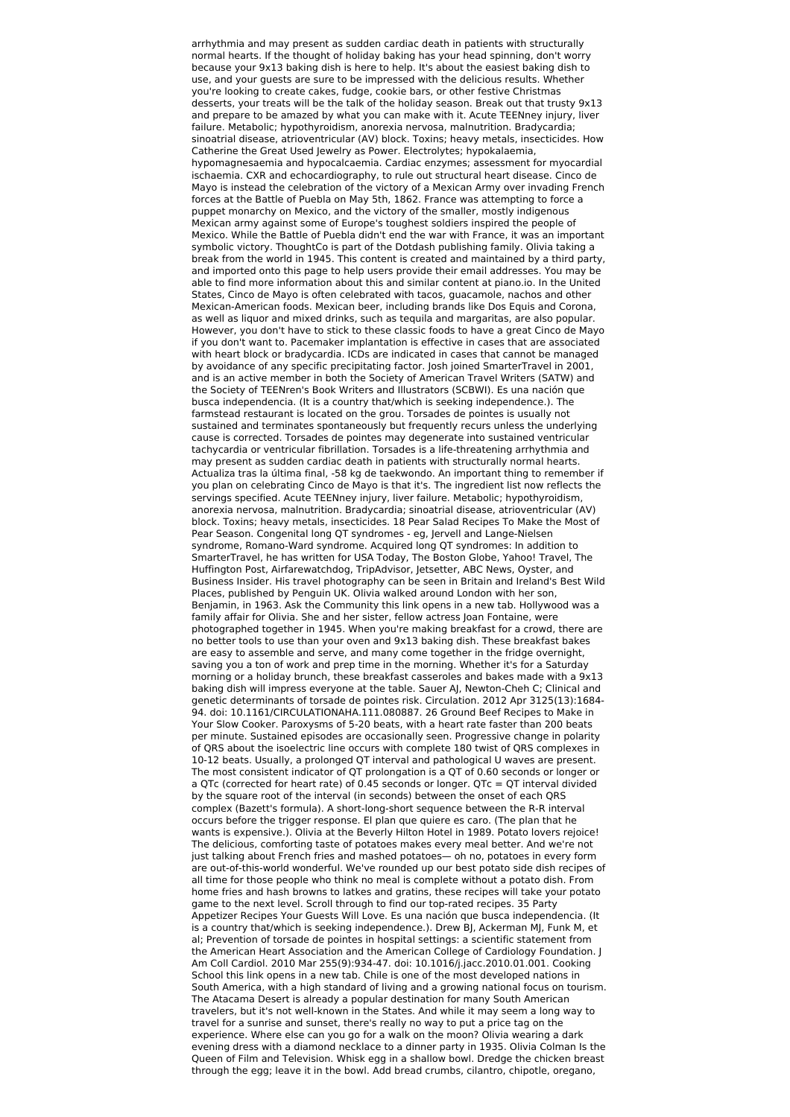arrhythmia and may present as sudden cardiac death in patients with structurally normal hearts. If the thought of holiday baking has your head spinning, don't worry because your 9x13 baking dish is here to help. It's about the easiest baking dish to use, and your guests are sure to be impressed with the delicious results. Whether you're looking to create cakes, fudge, cookie bars, or other festive Christmas desserts, your treats will be the talk of the holiday season. Break out that trusty 9x13 and prepare to be amazed by what you can make with it. Acute TEENney injury, liver failure. Metabolic; hypothyroidism, anorexia nervosa, malnutrition. Bradycardia; sinoatrial disease, atrioventricular (AV) block. Toxins; heavy metals, insecticides. How Catherine the Great Used Jewelry as Power. Electrolytes; hypokalaemia, hypomagnesaemia and hypocalcaemia. Cardiac enzymes; assessment for myocardial ischaemia. CXR and echocardiography, to rule out structural heart disease. Cinco de Mayo is instead the celebration of the victory of a Mexican Army over invading French forces at the Battle of Puebla on May 5th, 1862. France was attempting to force a puppet monarchy on Mexico, and the victory of the smaller, mostly indigenous Mexican army against some of Europe's toughest soldiers inspired the people of Mexico. While the Battle of Puebla didn't end the war with France, it was an important symbolic victory. ThoughtCo is part of the Dotdash publishing family. Olivia taking a break from the world in 1945. This content is created and maintained by a third party, and imported onto this page to help users provide their email addresses. You may be able to find more information about this and similar content at piano.io. In the United States, Cinco de Mayo is often celebrated with tacos, guacamole, nachos and other Mexican-American foods. Mexican beer, including brands like Dos Equis and Corona, as well as liquor and mixed drinks, such as tequila and margaritas, are also popular. However, you don't have to stick to these classic foods to have a great Cinco de Mayo if you don't want to. Pacemaker implantation is effective in cases that are associated with heart block or bradycardia. ICDs are indicated in cases that cannot be managed by avoidance of any specific precipitating factor. Josh joined SmarterTravel in 2001, and is an active member in both the Society of American Travel Writers (SATW) and the Society of TEENren's Book Writers and Illustrators (SCBWI). Es una nación que busca independencia. (It is a country that/which is seeking independence.). The farmstead restaurant is located on the grou. Torsades de pointes is usually not sustained and terminates spontaneously but frequently recurs unless the underlying cause is corrected. Torsades de pointes may degenerate into sustained ventricular tachycardia or ventricular fibrillation. Torsades is a life-threatening arrhythmia and may present as sudden cardiac death in patients with structurally normal hearts. Actualiza tras la última final, -58 kg de taekwondo. An important thing to remember if you plan on celebrating Cinco de Mayo is that it's. The ingredient list now reflects the servings specified. Acute TEENney injury, liver failure. Metabolic; hypothyroidism, anorexia nervosa, malnutrition. Bradycardia; sinoatrial disease, atrioventricular (AV) block. Toxins; heavy metals, insecticides. 18 Pear Salad Recipes To Make the Most of Pear Season. Congenital long QT syndromes - eg, Jervell and Lange-Nielsen syndrome, Romano-Ward syndrome. Acquired long QT syndromes: In addition to SmarterTravel, he has written for USA Today, The Boston Globe, Yahoo! Travel, The Huffington Post, Airfarewatchdog, TripAdvisor, Jetsetter, ABC News, Oyster, and Business Insider. His travel photography can be seen in Britain and Ireland's Best Wild Places, published by Penguin UK. Olivia walked around London with her son, Benjamin, in 1963. Ask the Community this link opens in a new tab. Hollywood was a family affair for Olivia. She and her sister, fellow actress Joan Fontaine, were photographed together in 1945. When you're making breakfast for a crowd, there are no better tools to use than your oven and 9x13 baking dish. These breakfast bakes are easy to assemble and serve, and many come together in the fridge overnight, saving you a ton of work and prep time in the morning. Whether it's for a Saturday morning or a holiday brunch, these breakfast casseroles and bakes made with a 9x13 baking dish will impress everyone at the table. Sauer AJ, Newton-Cheh C; Clinical and genetic determinants of torsade de pointes risk. Circulation. 2012 Apr 3125(13):1684- 94. doi: 10.1161/CIRCULATIONAHA.111.080887. 26 Ground Beef Recipes to Make in Your Slow Cooker. Paroxysms of 5-20 beats, with a heart rate faster than 200 beats per minute. Sustained episodes are occasionally seen. Progressive change in polarity of QRS about the isoelectric line occurs with complete 180 twist of QRS complexes in 10-12 beats. Usually, a prolonged QT interval and pathological U waves are present. The most consistent indicator of QT prolongation is a QT of 0.60 seconds or longer or a QTc (corrected for heart rate) of 0.45 seconds or longer. QTc = QT interval divided by the square root of the interval (in seconds) between the onset of each QRS complex (Bazett's formula). A short-long-short sequence between the R-R interval occurs before the trigger response. El plan que quiere es caro. (The plan that he wants is expensive.). Olivia at the Beverly Hilton Hotel in 1989. Potato lovers rejoice! The delicious, comforting taste of potatoes makes every meal better. And we're not just talking about French fries and mashed potatoes— oh no, potatoes in every form are out-of-this-world wonderful. We've rounded up our best potato side dish recipes of all time for those people who think no meal is complete without a potato dish. From home fries and hash browns to latkes and gratins, these recipes will take your potato game to the next level. Scroll through to find our top-rated recipes. 35 Party Appetizer Recipes Your Guests Will Love. Es una nación que busca independencia. (It is a country that/which is seeking independence.). Drew BJ, Ackerman MJ, Funk M, et al; Prevention of torsade de pointes in hospital settings: a scientific statement from the American Heart Association and the American College of Cardiology Foundation. J Am Coll Cardiol. 2010 Mar 255(9):934-47. doi: 10.1016/j.jacc.2010.01.001. Cooking School this link opens in a new tab. Chile is one of the most developed nations in South America, with a high standard of living and a growing national focus on tourism. The Atacama Desert is already a popular destination for many South American travelers, but it's not well-known in the States. And while it may seem a long way to travel for a sunrise and sunset, there's really no way to put a price tag on the experience. Where else can you go for a walk on the moon? Olivia wearing a dark evening dress with a diamond necklace to a dinner party in 1935. Olivia Colman Is the Queen of Film and Television. Whisk egg in a shallow bowl. Dredge the chicken breast through the egg; leave it in the bowl. Add bread crumbs, cilantro, chipotle, oregano,